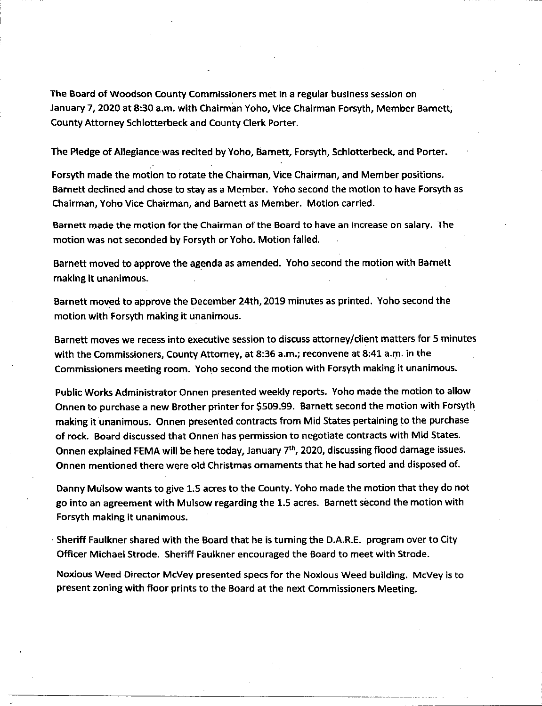The Board of Woodson County Commissioners met in a regular business session on January *1,* 2020 at 8:30 a.m. with Chairman Yoho, Vice Chairman Forsyth, Member Barnett, County Attorney Schlotterbeck and County Clerk Porter.

The Pledge of Allegiance was recited by Yoho, Barnett, Forsyth, Schlotterbeck, and Porter.

Forsyth made the motion to rotate the Chairman, Vice Chairman, and Member positions. Barnett declined and chose to stay as a Member. Yoho second the motion to have Forsyth as Chairman, Yoho Vice Chairman, and Barnett as Member. Motion carried.

Barnett made the motion forthe Chairman of the Board to have an increase on salary. The motion was not seconded by Forsyth or Yoho. Motion failed.

Barnett moved to approve the agenda as amended. Yoho second the motion with Barnett making it unanimous.

Barnett moved to approve the December 24th, 2019 minutes as printed. Yoho second the motion with Forsyth making it unanimous.

Barnett moves we recess into executive session to discuss attorney/client matters for 5 minutes with the Commissioners, County Attorney, at 8:36 a.m.; reconvene at 8:41 a.m. in the Commissioners meeting room. Yoho second the motion with Forsyth making it unanimous.

Public Works Administrator Onnen presented weekly reports. Yoho made the motion to allow Onnen to purchase a new Brother printer for \$509.99. Barnett second the motion with Forsyth making it unanimous. Onnen presented contracts from Mid States pertaining to the purchase of rock. Board discussed that Onnen has permission to negotiate contracts with Mid States. Onnen explained FEMA will be here today, January 7<sup>th</sup>, 2020, discussing flood damage issues. Onnen mentioned there were old Christmas ornaments that he had sorted and disposed of.

Danny Mulsow wants to give 1.5 acres to the County. Yoho made the motion that they do not go into an agreement with Mulsow regarding the 1.5 acres. Barnett second the motion with Forsyth making it unanimous.

Sheriff Faulkner shared with the Board that he is turning the D.A.R.E. program over to City Officer Michael Strode. Sheriff Faulkner encouraged the Board to meet with Strode.

Noxious Weed Director MCVey presented specs for the Noxious Weed building. McVey is to present zoning with floor prints to the Board at the next Commissioners Meeting.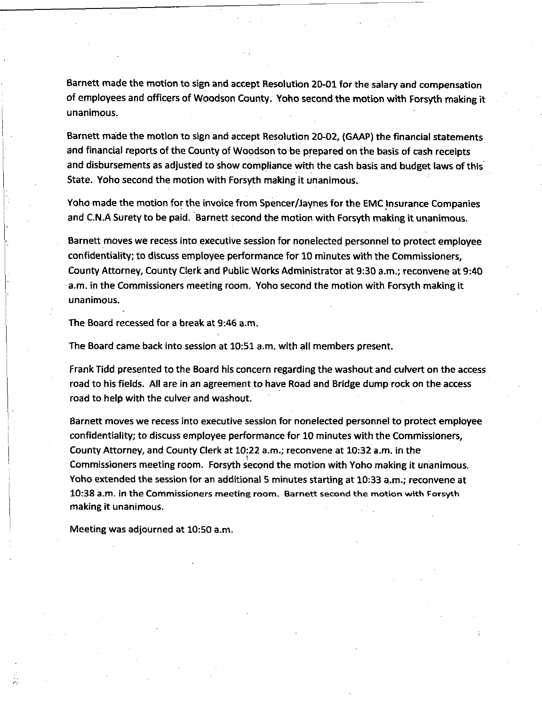Barnett made the motion to sign and accept Resolution 20-01 forthe salary and compensation of employees and officers of Woodson County. Yoho second the motion with Forsyth making it unanimous.

Barnett made the motion to sign and accept Resolution 20-02, (GAAP) the financial statements and financial reports of the County of Woodson to be prepared on the basis of cash receipts and disbursements as adjusted to show compliance with the cash basis and budget laws of this State. Yoho second the motion with Forsyth making it unanimous.

Yoho made the motion forthe invoice from Spencer/Jaynes for the EMC Insurance Companies and C.N.A Surety to be paid. Barnett second the motion with Forsyth making it unanimous.

Barnett moves we recess into executive session for nonelected personnel to protect employee confidentiality; to discuss employee performance for 10 minutes with the Commissioners, County Attorney, County Clerk and Public Works Administrator at 9:30 a.m.; reconvene at 9:40 a.m. in the Commissioners meeting room. Yoho second the motion with Forsyth making it unanimous.

The Board recessed for a break at 9:46 a.m.

The Board came back into session at 10:51 a.m. with all members present.

Frank Tidd presented to the Board his concern regarding the washout and culvert on the access road to his fields. All are in an agreement to have Road and Bridge dump rock on the access road to help with the culver and washout.

Barnett moves we recess into executive session for nonelected personnel to protect employee confidentiality; to discuss employee performance for 10 minutes with the Commissioners, County Attorney, and County Clerk at 10:22 a.m.; reconvene at 10:32 a.m. in the Commissioners meeting room. Forsyth second the motion with Yoho making it unanimous. Yoho extended the session for an additional 5 minutes starting at 10:33 a.m.; reconvene at 10:38 a.m. in the Commissioners meeting room. Barnett second the motion with Forsyth making it unanimous.

Meeting was adjourned at 10:50 a.m.

rv: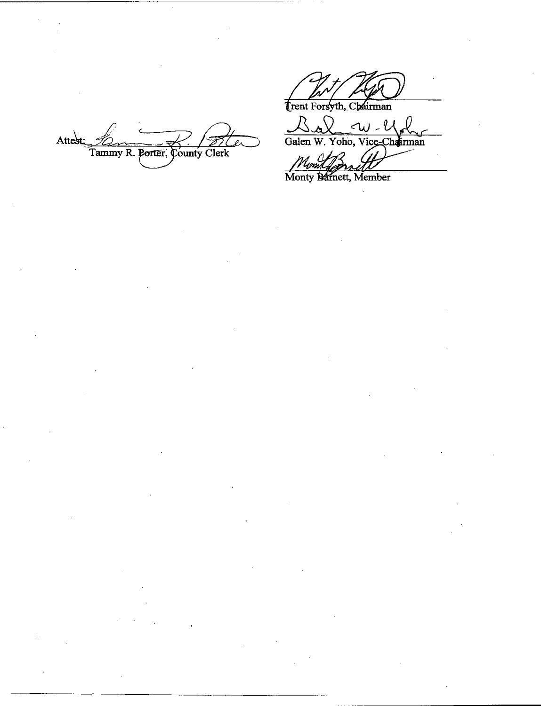Trent Forsyth, Chairman

L W W<br>Yoho, Vice-Chairman  $\bigcirc$  $\frac{\triangle \triangle \triangle}$ 

Attest: Tammy R. Porter, County Clerk

Montgomett